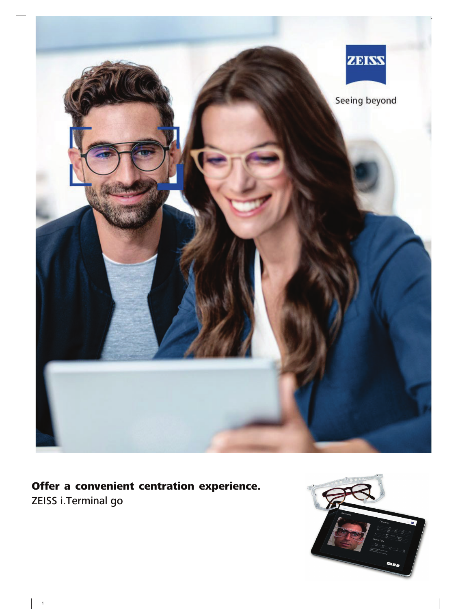

# Offer a convenient centration experience.

ZEISS i.Terminal go